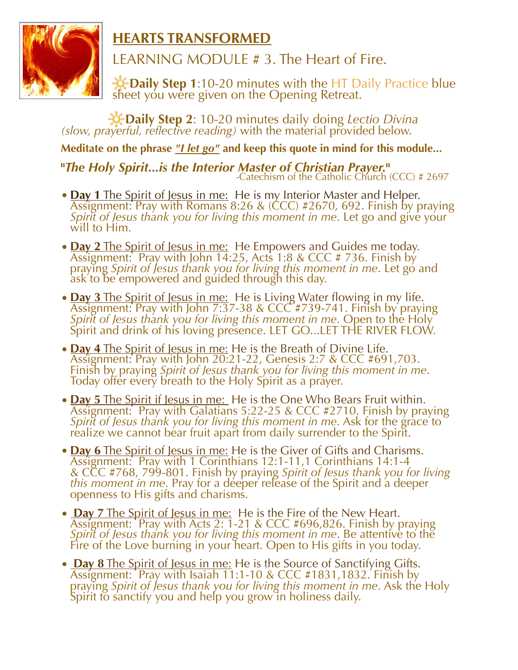

**HEARTS TRANSFORMED**

LEARNING MODULE # 3. The Heart of Fire.

 **Daily Step 1**:10-20 minutes with the HT Daily Practice blue sheet you were given on the Opening Retreat.

**Daily Step 2**: 10-20 minutes daily doing *Lectio Divina (slow, prayerful, reflective reading)* with the material provided below.

**Meditate on the phrase** *"I let go"* **and keep this quote in mind for this module...** 

**"The Holy Spirit...is the Interior Master of Christian Prayer.<sup>"</sup><br>Catechism of the Catholic Church (CCC) # 2697-**

- **Day 1** The Spirit of Jesus in me: He is my Interior Master and Helper.<br>Assignment: Pray with Romans 8:26 & (CCC) #2670, 692. Finish by praying *Spirit of Jesus thank you for living this moment in me*. Let go and give your will to Him.
- **Day 2** The Spirit of Jesus in me: He Empowers and Guides me today. Assignment: Pray with John 14:25, Acts 1:8 & CCC # 736. Finish by prayĭng *Spirit of Jesus thank you for living this moment in me*. Let gó and<br>ask to be empowered and guided through this day.
- **Day 3** The Spirit of Jesus in me: He is Living Water flowing in my life.<br>Assignment: Pray with John 7:37-38 & CCC #739-741. Finish by praying Spirit of Jesus thank you for living this moment in me. Open to the Holy *Spirit and drink of his loving presence. LET GO...LET THE RIVER FLOW.*
- **Day 4** The Spirit of Jesus in me: He is the Breath of Divine Life.<br>Assignment: Pray with John 20:21-22, Genesis 2:7 & CCC #691,703. Finish by praying *Spirit of Jesus thank you for living this moment in me*. Today offer every breath to the Holy Spirit as a prayer.
- **Day 5** The Spirit if Jesus in me: He is the One Who Bears Fruit within.<br>Assignment: Pray with Galatians 5:22-25 & CCC #2710. Finish by praying *Spirit of Jesus thank you for living this moment in me. Ask for the grace to*<br>realize we cannot bear fruit apart from daily surrender to the Spirit.
- **Day 6** The Spirit of Jesus in me: He is the Giver of Gifts and Charisms.<br>Assignment: Pray with 1 Corinthians 12:1-11,1 Corinthians 14:1-4<br>& CCC #768, 799-801. Finish by praying *Spirit of Jesus thank you for living* this moment in me. Pray for a déeper release of the Spirit and a deeper openness to His gifts and charisms.
- **Day 7** The Spirit of Jesus in me: He is the Fire of the New Heart.<br>Assignment: Pray with Acts 2: 1-21 & CCC #696,826. Finish by praying *Spirit of Jesus thank you for living this moment in me. Be attentive to the* Fire of the Love burning in your heart. Open to His gifts in you today.
- **Day 8** The Spirit of Jesus in me: He is the Source of Sanctifying Gifts.<br>Assignment: Pray with Isaiah 11:1-10 & CCC #1831,1832. Finish by praying *Spirit of Jesus thank you for living this moment in me*. Ask the Holy Spirit to sanctify you and help you grow in holiness daily.